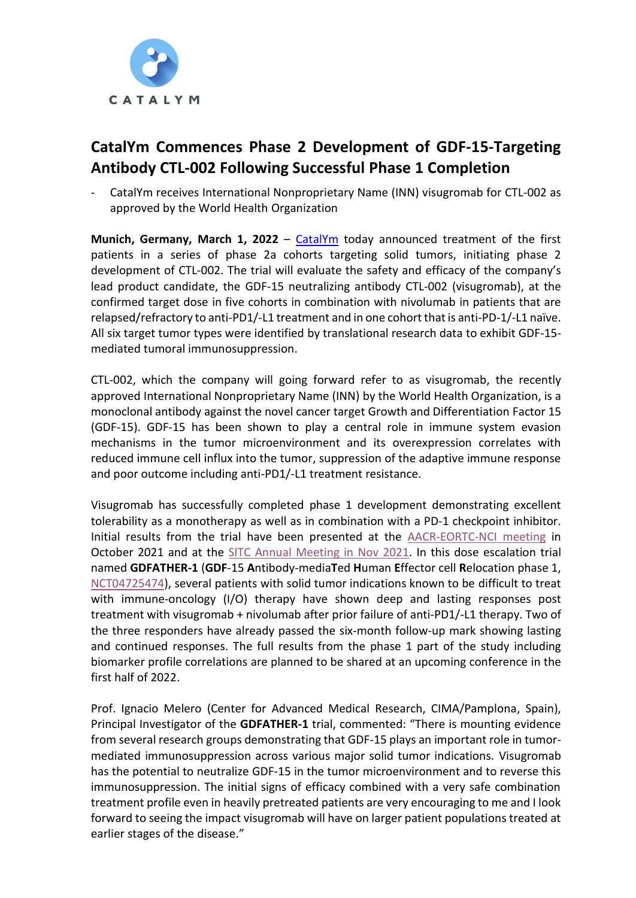

# **CatalYm Commences Phase 2 Development of GDF-15-Targeting Antibody CTL-002 Following Successful Phase 1 Completion**

CatalYm receives International Nonproprietary Name (INN) visugromab for CTL-002 as approved by the World Health Organization

**Munich, Germany, March 1, 2022** – *[CatalYm](https://www.catalym.com/)* today announced treatment of the first patients in a series of phase 2a cohorts targeting solid tumors, initiating phase 2 development of CTL-002. The trial will evaluate the safety and efficacy of the company's lead product candidate, the GDF-15 neutralizing antibody CTL-002 (visugromab), at the confirmed target dose in five cohorts in combination with nivolumab in patients that are relapsed/refractory to anti-PD1/-L1 treatment and in one cohort that is anti-PD-1/-L1 naïve. All six target tumor types were identified by translational research data to exhibit GDF-15 mediated tumoral immunosuppression.

CTL-002, which the company will going forward refer to as visugromab, the recently approved International Nonproprietary Name (INN) by the World Health Organization, is a monoclonal antibody against the novel cancer target Growth and Differentiation Factor 15 (GDF-15). GDF-15 has been shown to play a central role in immune system evasion mechanisms in the tumor microenvironment and its overexpression correlates with reduced immune cell influx into the tumor, suppression of the adaptive immune response and poor outcome including anti-PD1/-L1 treatment resistance.

Visugromab has successfully completed phase 1 development demonstrating excellent tolerability as a monotherapy as well as in combination with a PD-1 checkpoint inhibitor. Initial results from the trial have been presented at the [AACR-EORTC-NCI meeting](https://www.catalym.com/catalym-presents-updated-tolerability-and-preliminary-pharmacodynamics-data-from-gdf-15-targeting-first-in-human-clinical-trial-in-plenary-session-at-aacr-nci-eortc-conference-on-molecular-targets-and/) in October 2021 and at the [SITC Annual Meeting in Nov 2021.](https://www.catalym.com/catalym-presents-expanded-clinical-and-new-preclinical-data-from-gdf-15-targeting-program-ctl-002-at-sitc-conference/) In this dose escalation trial named **GDFATHER-1** (**GDF**-15 **A**ntibody-media**T**ed **H**uman **E**ffector cell **R**elocation phase 1, [NCT04725474\)](https://clinicaltrials.gov/ct2/show/NCT04725474?term=catalym&draw=2&rank=1), several patients with solid tumor indications known to be difficult to treat with immune-oncology (I/O) therapy have shown deep and lasting responses post treatment with visugromab + nivolumab after prior failure of anti-PD1/-L1 therapy. Two of the three responders have already passed the six-month follow-up mark showing lasting and continued responses. The full results from the phase 1 part of the study including biomarker profile correlations are planned to be shared at an upcoming conference in the first half of 2022.

Prof. Ignacio Melero (Center for Advanced Medical Research, CIMA/Pamplona, Spain), Principal Investigator of the **GDFATHER-1** trial, commented: "There is mounting evidence from several research groups demonstrating that GDF-15 plays an important role in tumormediated immunosuppression across various major solid tumor indications. Visugromab has the potential to neutralize GDF-15 in the tumor microenvironment and to reverse this immunosuppression. The initial signs of efficacy combined with a very safe combination treatment profile even in heavily pretreated patients are very encouraging to me and I look forward to seeing the impact visugromab will have on larger patient populations treated at earlier stages of the disease."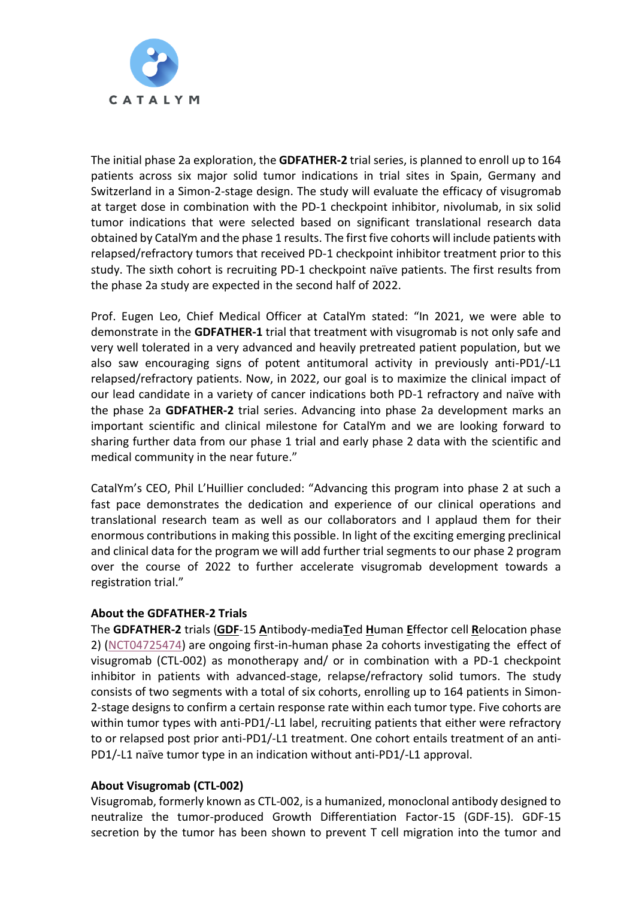

The initial phase 2a exploration, the **GDFATHER-2** trial series, is planned to enroll up to 164 patients across six major solid tumor indications in trial sites in Spain, Germany and Switzerland in a Simon-2-stage design. The study will evaluate the efficacy of visugromab at target dose in combination with the PD-1 checkpoint inhibitor, nivolumab, in six solid tumor indications that were selected based on significant translational research data obtained by CatalYm and the phase 1 results. The first five cohorts will include patients with relapsed/refractory tumors that received PD-1 checkpoint inhibitor treatment prior to this study. The sixth cohort is recruiting PD-1 checkpoint naïve patients. The first results from the phase 2a study are expected in the second half of 2022.

Prof. Eugen Leo, Chief Medical Officer at CatalYm stated: "In 2021, we were able to demonstrate in the **GDFATHER-1** trial that treatment with visugromab is not only safe and very well tolerated in a very advanced and heavily pretreated patient population, but we also saw encouraging signs of potent antitumoral activity in previously anti-PD1/-L1 relapsed/refractory patients. Now, in 2022, our goal is to maximize the clinical impact of our lead candidate in a variety of cancer indications both PD-1 refractory and naïve with the phase 2a **GDFATHER-2** trial series. Advancing into phase 2a development marks an important scientific and clinical milestone for CatalYm and we are looking forward to sharing further data from our phase 1 trial and early phase 2 data with the scientific and medical community in the near future."

CatalYm's CEO, Phil L'Huillier concluded: "Advancing this program into phase 2 at such a fast pace demonstrates the dedication and experience of our clinical operations and translational research team as well as our collaborators and I applaud them for their enormous contributions in making this possible. In light of the exciting emerging preclinical and clinical data for the program we will add further trial segments to our phase 2 program over the course of 2022 to further accelerate visugromab development towards a registration trial."

## **About the GDFATHER-2 Trials**

The **GDFATHER-2** trials (**GDF**-15 **A**ntibody-media**T**ed **H**uman **E**ffector cell **R**elocation phase 2) [\(NCT04725474\)](https://clinicaltrials.gov/ct2/show/NCT04725474?term=CTL-002&draw=2&rank=1) are ongoing first-in-human phase 2a cohorts investigating the effect of visugromab (CTL-002) as monotherapy and/ or in combination with a PD-1 checkpoint inhibitor in patients with advanced-stage, relapse/refractory solid tumors. The study consists of two segments with a total of six cohorts, enrolling up to 164 patients in Simon-2-stage designs to confirm a certain response rate within each tumor type. Five cohorts are within tumor types with anti-PD1/-L1 label, recruiting patients that either were refractory to or relapsed post prior anti-PD1/-L1 treatment. One cohort entails treatment of an anti-PD1/-L1 naïve tumor type in an indication without anti-PD1/-L1 approval.

### **About Visugromab (CTL-002)**

Visugromab, formerly known as CTL-002, is a humanized, monoclonal antibody designed to neutralize the tumor-produced Growth Differentiation Factor-15 (GDF-15). GDF-15 secretion by the tumor has been shown to prevent T cell migration into the tumor and